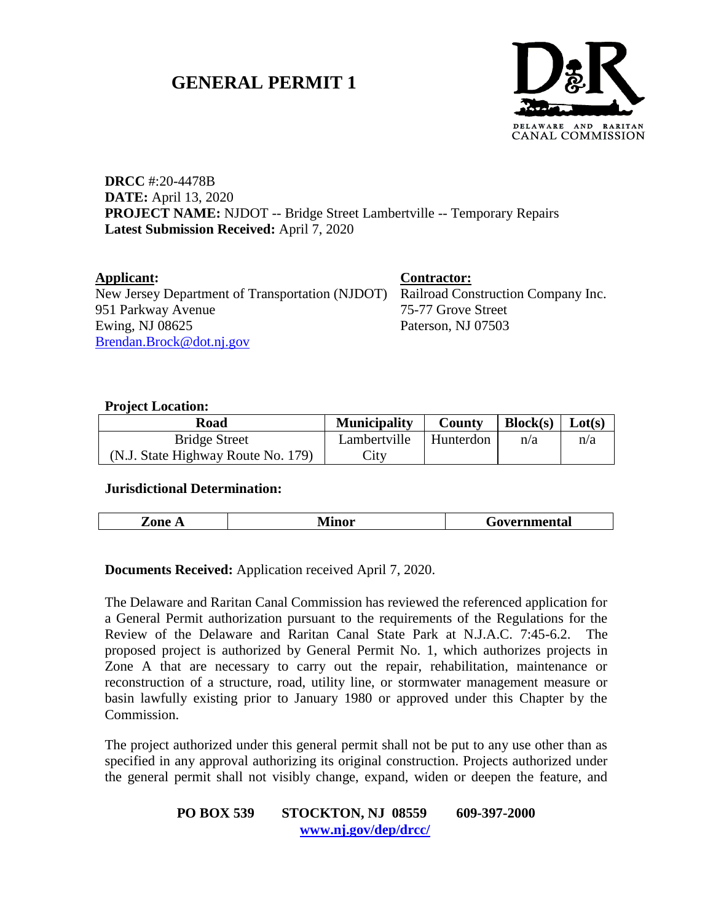# **GENERAL PERMIT 1**



**DRCC** #:20-4478B **DATE:** April 13, 2020 **PROJECT NAME:** NJDOT -- Bridge Street Lambertville -- Temporary Repairs **Latest Submission Received:** April 7, 2020

**Applicant: Contractor:** New Jersey Department of Transportation (NJDOT) Railroad Construction Company Inc. 951 Parkway Avenue Ewing, NJ 08625 [Brendan.Brock@dot.nj.gov](mailto:Brendan.Brock@dot.nj.gov)

75-77 Grove Street Paterson, NJ 07503

#### **Project Location:**

| Road                               | <b>Municipality</b> | County      | Block(s)   Lot(s) |     |
|------------------------------------|---------------------|-------------|-------------------|-----|
| <b>Bridge Street</b>               | Lambertville        | ⊥ Hunterdon | n/a               | n/a |
| (N.J. State Highway Route No. 179) | $\mathcal{L}$ ity   |             |                   |     |

#### **Jurisdictional Determination:**

| ********<br><b>LUILVIA</b><br>------------- | $\sim$<br>---- | . .<br>--- | ча. |
|---------------------------------------------|----------------|------------|-----|
|---------------------------------------------|----------------|------------|-----|

#### **Documents Received:** Application received April 7, 2020.

The Delaware and Raritan Canal Commission has reviewed the referenced application for a General Permit authorization pursuant to the requirements of the Regulations for the Review of the Delaware and Raritan Canal State Park at N.J.A.C. 7:45-6.2. The proposed project is authorized by General Permit No. 1, which authorizes projects in Zone A that are necessary to carry out the repair, rehabilitation, maintenance or reconstruction of a structure, road, utility line, or stormwater management measure or basin lawfully existing prior to January 1980 or approved under this Chapter by the Commission.

The project authorized under this general permit shall not be put to any use other than as specified in any approval authorizing its original construction. Projects authorized under the general permit shall not visibly change, expand, widen or deepen the feature, and

### **PO BOX 539 STOCKTON, NJ 08559 609-397-2000 [www.nj.gov/dep/drcc/](http://www.nj.gov/dep/drcc/)**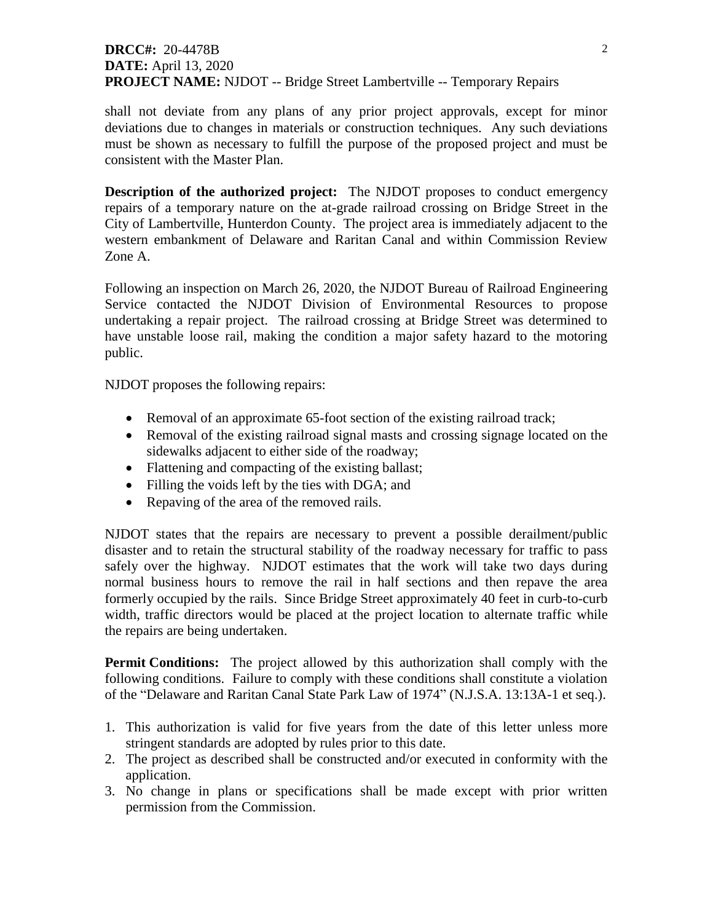## **DRCC#:** 20-4478B **DATE:** April 13, 2020 **PROJECT NAME:** NJDOT -- Bridge Street Lambertville -- Temporary Repairs

shall not deviate from any plans of any prior project approvals, except for minor deviations due to changes in materials or construction techniques. Any such deviations must be shown as necessary to fulfill the purpose of the proposed project and must be consistent with the Master Plan.

**Description of the authorized project:** The NJDOT proposes to conduct emergency repairs of a temporary nature on the at-grade railroad crossing on Bridge Street in the City of Lambertville, Hunterdon County. The project area is immediately adjacent to the western embankment of Delaware and Raritan Canal and within Commission Review Zone A.

Following an inspection on March 26, 2020, the NJDOT Bureau of Railroad Engineering Service contacted the NJDOT Division of Environmental Resources to propose undertaking a repair project. The railroad crossing at Bridge Street was determined to have unstable loose rail, making the condition a major safety hazard to the motoring public.

NJDOT proposes the following repairs:

- Removal of an approximate 65-foot section of the existing railroad track;
- Removal of the existing railroad signal masts and crossing signage located on the sidewalks adjacent to either side of the roadway;
- Flattening and compacting of the existing ballast;
- Filling the voids left by the ties with DGA; and
- Repaving of the area of the removed rails.

NJDOT states that the repairs are necessary to prevent a possible derailment/public disaster and to retain the structural stability of the roadway necessary for traffic to pass safely over the highway. NJDOT estimates that the work will take two days during normal business hours to remove the rail in half sections and then repave the area formerly occupied by the rails. Since Bridge Street approximately 40 feet in curb-to-curb width, traffic directors would be placed at the project location to alternate traffic while the repairs are being undertaken.

**Permit Conditions:** The project allowed by this authorization shall comply with the following conditions. Failure to comply with these conditions shall constitute a violation of the "Delaware and Raritan Canal State Park Law of 1974" (N.J.S.A. 13:13A-1 et seq.).

- 1. This authorization is valid for five years from the date of this letter unless more stringent standards are adopted by rules prior to this date.
- 2. The project as described shall be constructed and/or executed in conformity with the application.
- 3. No change in plans or specifications shall be made except with prior written permission from the Commission.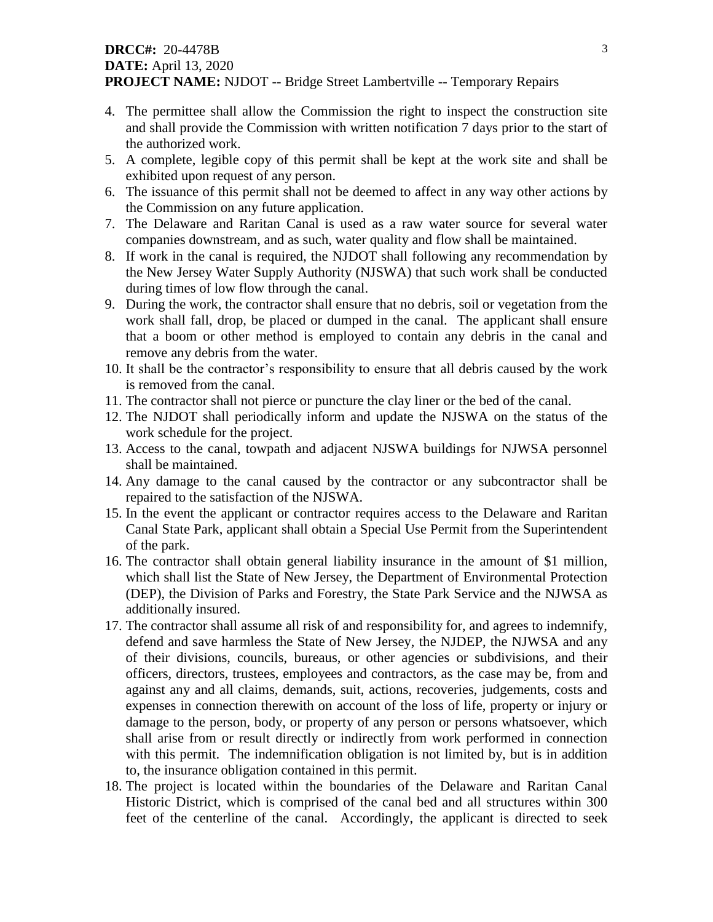### **DRCC#:** 20-4478B **DATE:** April 13, 2020 **PROJECT NAME:** NJDOT -- Bridge Street Lambertville -- Temporary Repairs

- 4. The permittee shall allow the Commission the right to inspect the construction site and shall provide the Commission with written notification 7 days prior to the start of the authorized work.
- 5. A complete, legible copy of this permit shall be kept at the work site and shall be exhibited upon request of any person.
- 6. The issuance of this permit shall not be deemed to affect in any way other actions by the Commission on any future application.
- 7. The Delaware and Raritan Canal is used as a raw water source for several water companies downstream, and as such, water quality and flow shall be maintained.
- 8. If work in the canal is required, the NJDOT shall following any recommendation by the New Jersey Water Supply Authority (NJSWA) that such work shall be conducted during times of low flow through the canal.
- 9. During the work, the contractor shall ensure that no debris, soil or vegetation from the work shall fall, drop, be placed or dumped in the canal. The applicant shall ensure that a boom or other method is employed to contain any debris in the canal and remove any debris from the water.
- 10. It shall be the contractor's responsibility to ensure that all debris caused by the work is removed from the canal.
- 11. The contractor shall not pierce or puncture the clay liner or the bed of the canal.
- 12. The NJDOT shall periodically inform and update the NJSWA on the status of the work schedule for the project.
- 13. Access to the canal, towpath and adjacent NJSWA buildings for NJWSA personnel shall be maintained.
- 14. Any damage to the canal caused by the contractor or any subcontractor shall be repaired to the satisfaction of the NJSWA.
- 15. In the event the applicant or contractor requires access to the Delaware and Raritan Canal State Park, applicant shall obtain a Special Use Permit from the Superintendent of the park.
- 16. The contractor shall obtain general liability insurance in the amount of \$1 million, which shall list the State of New Jersey, the Department of Environmental Protection (DEP), the Division of Parks and Forestry, the State Park Service and the NJWSA as additionally insured.
- 17. The contractor shall assume all risk of and responsibility for, and agrees to indemnify, defend and save harmless the State of New Jersey, the NJDEP, the NJWSA and any of their divisions, councils, bureaus, or other agencies or subdivisions, and their officers, directors, trustees, employees and contractors, as the case may be, from and against any and all claims, demands, suit, actions, recoveries, judgements, costs and expenses in connection therewith on account of the loss of life, property or injury or damage to the person, body, or property of any person or persons whatsoever, which shall arise from or result directly or indirectly from work performed in connection with this permit. The indemnification obligation is not limited by, but is in addition to, the insurance obligation contained in this permit.
- 18. The project is located within the boundaries of the Delaware and Raritan Canal Historic District, which is comprised of the canal bed and all structures within 300 feet of the centerline of the canal. Accordingly, the applicant is directed to seek